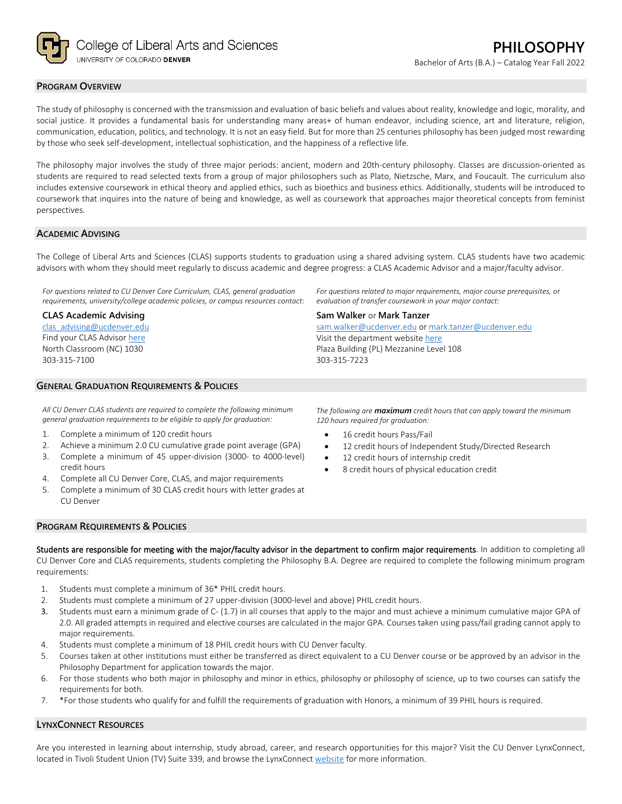

# **PROGRAM OVERVIEW**

The study of philosophy is concerned with the transmission and evaluation of basic beliefs and values about reality, knowledge and logic, morality, and social justice. It provides a fundamental basis for understanding many areas+ of human endeavor, including science, art and literature, religion, communication, education, politics, and technology. It is not an easy field. But for more than 25 centuries philosophy has been judged most rewarding by those who seek self-development, intellectual sophistication, and the happiness of a reflective life.

The philosophy major involves the study of three major periods: ancient, modern and 20th-century philosophy. Classes are discussion-oriented as students are required to read selected texts from a group of major philosophers such as Plato, Nietzsche, Marx, and Foucault. The curriculum also includes extensive coursework in ethical theory and applied ethics, such as bioethics and business ethics. Additionally, students will be introduced to coursework that inquires into the nature of being and knowledge, as well as coursework that approaches major theoretical concepts from feminist perspectives.

## **ACADEMIC ADVISING**

The College of Liberal Arts and Sciences (CLAS) supports students to graduation using a shared advising system. CLAS students have two academic advisors with whom they should meet regularly to discuss academic and degree progress: a CLAS Academic Advisor and a major/faculty advisor.

*For questions related to CU Denver Core Curriculum, CLAS, general graduation requirements, university/college academic policies, or campus resources contact:*

### **CLAS Academic Advising**

[clas\\_advising@ucdenver.edu](mailto:clas_advising@ucdenver.edu) Find your CLAS Adviso[r here](https://clas.ucdenver.edu/advising/) North Classroom (NC) 1030 303-315-7100

## **GENERAL GRADUATION REQUIREMENTS & POLICIES**

*All CU Denver CLAS students are required to complete the following minimum general graduation requirements to be eligible to apply for graduation:*

- 1. Complete a minimum of 120 credit hours
- 2. Achieve a minimum 2.0 CU cumulative grade point average (GPA) 3. Complete a minimum of 45 upper-division (3000- to 4000-level)
- credit hours 4. Complete all CU Denver Core, CLAS, and major requirements
- 5. Complete a minimum of 30 CLAS credit hours with letter grades at CU Denver

*For questions related to major requirements, major course prerequisites, or evaluation of transfer coursework in your major contact:*

#### **Sam Walker** or **Mark Tanzer**

[sam.walker@ucdenver.edu](mailto:sam.walker@ucdenver.edu) o[r mark.tanzer@ucdenver.edu](mailto:mark.tanzer@ucdenver.edu) Visit the department websit[e here](https://clas.ucdenver.edu/philosophy/) Plaza Building (PL) Mezzanine Level 108 303-315-7223

*The following are maximum credit hours that can apply toward the minimum 120 hours required for graduation:*

- 16 credit hours Pass/Fail
- 12 credit hours of Independent Study/Directed Research
- 12 credit hours of internship credit
- 8 credit hours of physical education credit

# **PROGRAM REQUIREMENTS & POLICIES**

Students are responsible for meeting with the major/faculty advisor in the department to confirm major requirements. In addition to completing all CU Denver Core and CLAS requirements, students completing the Philosophy B.A. Degree are required to complete the following minimum program requirements:

- 1. Students must complete a minimum of 36\* PHIL credit hours.
- 2. Students must complete a minimum of 27 upper-division (3000-level and above) PHIL credit hours.
- 3. Students must earn a minimum grade of C- (1.7) in all courses that apply to the major and must achieve a minimum cumulative major GPA of 2.0. All graded attempts in required and elective courses are calculated in the major GPA. Courses taken using pass/fail grading cannot apply to major requirements.
- 4. Students must complete a minimum of 18 PHIL credit hours with CU Denver faculty.
- 5. Courses taken at other institutions must either be transferred as direct equivalent to a CU Denver course or be approved by an advisor in the Philosophy Department for application towards the major.
- 6. For those students who both major in philosophy and minor in ethics, philosophy or philosophy of science, up to two courses can satisfy the requirements for both.
- 7. \*For those students who qualify for and fulfill the requirements of graduation with Honors, a minimum of 39 PHIL hours is required.

## **LYNXCONNECT RESOURCES**

Are you interested in learning about internship, study abroad, career, and research opportunities for this major? Visit the CU Denver LynxConnect, located in Tivoli Student Union (TV) Suite 339, and browse the LynxConnec[t website](http://www.ucdenver.edu/lynxconnect/Pages/default.aspx) for more information.